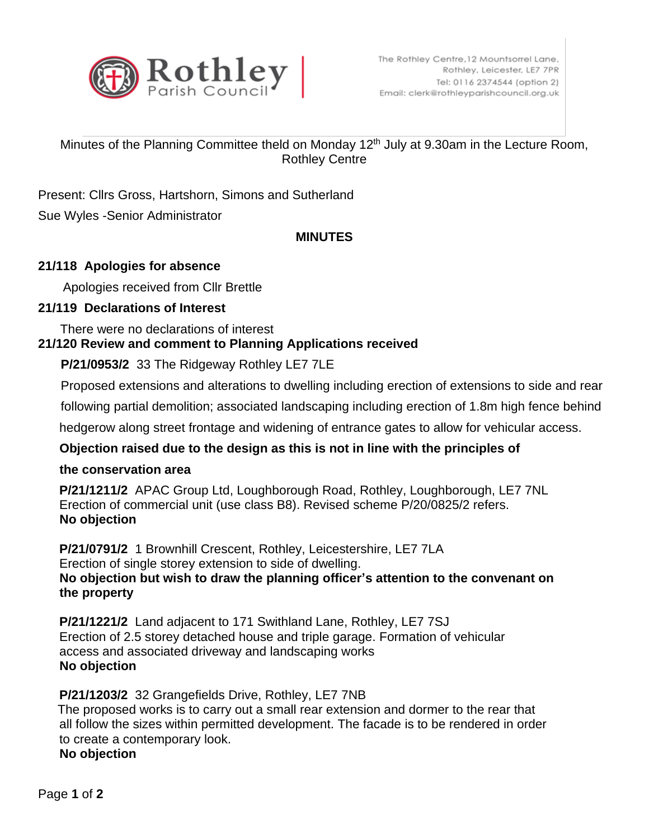

# Minutes of the Planning Committee theld on Monday 12<sup>th</sup> July at 9.30am in the Lecture Room, Rothley Centre

Present: Cllrs Gross, Hartshorn, Simons and Sutherland

Sue Wyles -Senior Administrator

## **MINUTES**

## **21/118 Apologies for absence**

Apologies received from Cllr Brettle

## **21/119 Declarations of Interest**

There were no declarations of interest

# **21/120 Review and comment to Planning Applications received**

**P/21/0953/2** 33 The Ridgeway Rothley LE7 7LE

Proposed extensions and alterations to dwelling including erection of extensions to side and rear

following partial demolition; associated landscaping including erection of 1.8m high fence behind

hedgerow along street frontage and widening of entrance gates to allow for vehicular access.

# **Objection raised due to the design as this is not in line with the principles of**

#### **the conservation area**

 **P/21/1211/2** APAC Group Ltd, Loughborough Road, Rothley, Loughborough, LE7 7NL Erection of commercial unit (use class B8). Revised scheme P/20/0825/2 refers. **No objection**

 **P/21/0791/2** 1 Brownhill Crescent, Rothley, Leicestershire, LE7 7LA Erection of single storey extension to side of dwelling.  **No objection but wish to draw the planning officer's attention to the convenant on the property**

 **P/21/1221/2** Land adjacent to 171 Swithland Lane, Rothley, LE7 7SJ Erection of 2.5 storey detached house and triple garage. Formation of vehicular access and associated driveway and landscaping works  **No objection**

# **P/21/1203/2** 32 Grangefields Drive, Rothley, LE7 7NB

 The proposed works is to carry out a small rear extension and dormer to the rear that all follow the sizes within permitted development. The facade is to be rendered in order to create a contemporary look.

**No objection**